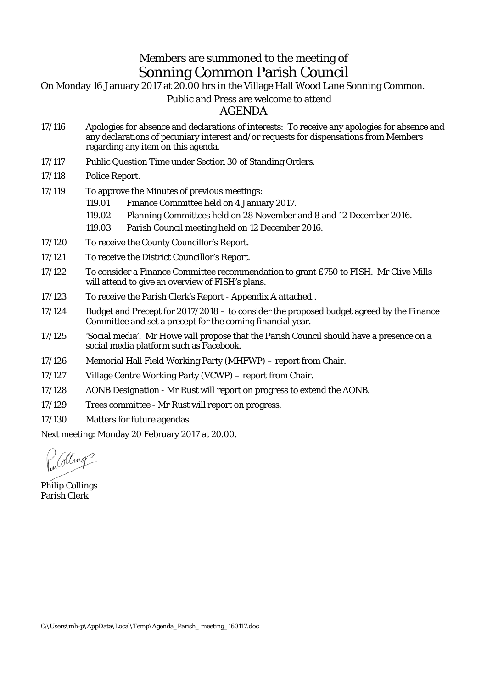## Members are summoned to the meeting of Sonning Common Parish Council

On Monday 16 January 2017 at 20.00 hrs in the Village Hall Wood Lane Sonning Common.

## Public and Press are welcome to attend

AGENDA

- 17/116 Apologies for absence and declarations of interests: To receive any apologies for absence and any declarations of pecuniary interest and/or requests for dispensations from Members regarding any item on this agenda.
- 17/117 Public Question Time under Section 30 of Standing Orders.

17/118 Police Report.

17/119 To approve the Minutes of previous meetings: 119.01 Finance Committee held on 4 January 2017. 119.02 Planning Committees held on 28 November and 8 and 12 December 2016. 119.03 Parish Council meeting held on 12 December 2016. 17/120 To receive the County Councillor's Report. 17/121 To receive the District Councillor's Report. 17/122 To consider a Finance Committee recommendation to grant £750 to FISH. Mr Clive Mills will attend to give an overview of FISH's plans.

- 17/123 To receive the Parish Clerk's Report Appendix A attached..
- 17/124 Budget and Precept for 2017/2018 to consider the proposed budget agreed by the Finance Committee and set a precept for the coming financial year.
- 17/125 'Social media'. Mr Howe will propose that the Parish Council should have a presence on a social media platform such as Facebook.
- 17/126 Memorial Hall Field Working Party (MHFWP) report from Chair.
- 17/127 Village Centre Working Party (VCWP) report from Chair.
- 17/128 AONB Designation Mr Rust will report on progress to extend the AONB.
- 17/129 Trees committee Mr Rust will report on progress.
- 17/130 Matters for future agendas.

Next meeting: Monday 20 February 2017 at 20.00.

dling

Philip Collings Parish Clerk